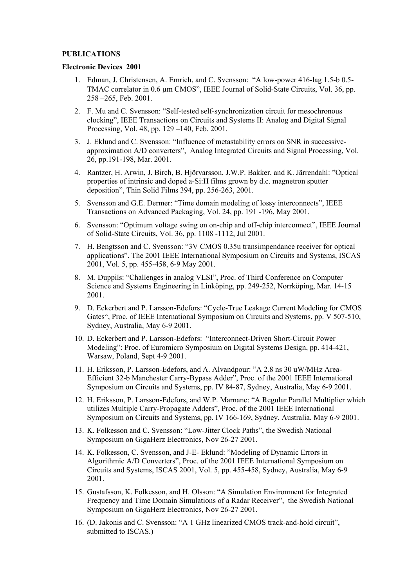## **PUBLICATIONS**

## **Electronic Devices 2001**

- 1. Edman, J. Christensen, A. Emrich, and C. Svensson: "A low-power 416-lag 1.5-b 0.5- TMAC correlator in 0.6  $\mu$ m CMOS", IEEE Journal of Solid-State Circuits, Vol. 36, pp. 258 –265, Feb. 2001.
- 2. F. Mu and C. Svensson: "Self-tested self-synchronization circuit for mesochronous clocking", IEEE Transactions on Circuits and Systems II: Analog and Digital Signal Processing, Vol. 48, pp. 129 –140, Feb. 2001.
- 3. J. Eklund and C. Svensson: "Influence of metastability errors on SNR in successiveapproximation A/D converters", Analog Integrated Circuits and Signal Processing, Vol. 26, pp.191-198, Mar. 2001.
- 4. Rantzer, H. Arwin, J. Birch, B. Hjörvarsson, J.W.P. Bakker, and K. Järrendahl: "Optical properties of intrinsic and doped a-Si:H films grown by d.c. magnetron sputter deposition", Thin Solid Films 394, pp. 256-263, 2001.
- 5. Svensson and G.E. Dermer: "Time domain modeling of lossy interconnects", IEEE Transactions on Advanced Packaging, Vol. 24, pp. 191 -196, May 2001.
- 6. Svensson: "Optimum voltage swing on on-chip and off-chip interconnect", IEEE Journal of Solid-State Circuits, Vol. 36, pp. 1108 -1112, Jul 2001.
- 7. H. Bengtsson and C. Svensson: "3V CMOS 0.35u transimpendance receiver for optical applications". The 2001 IEEE International Symposium on Circuits and Systems, ISCAS 2001, Vol. 5, pp. 455-458, 6-9 May 2001.
- 8. M. Duppils: "Challenges in analog VLSI", Proc. of Third Conference on Computer Science and Systems Engineering in Linköping, pp. 249-252, Norrköping, Mar. 14-15 2001.
- 9. D. Eckerbert and P. Larsson-Edefors: "Cycle-True Leakage Current Modeling for CMOS Gates", Proc. of IEEE International Symposium on Circuits and Systems, pp. V 507-510, Sydney, Australia, May 6-9 2001.
- 10. D. Eckerbert and P. Larsson-Edefors: "Interconnect-Driven Short-Circuit Power Modeling": Proc. of Euromicro Symposium on Digital Systems Design, pp. 414-421, Warsaw, Poland, Sept 4-9 2001.
- 11. H. Eriksson, P. Larsson-Edefors, and A. Alvandpour: "A 2.8 ns 30 uW/MHz Area-Efficient 32-b Manchester Carry-Bypass Adder", Proc. of the 2001 IEEE International Symposium on Circuits and Systems, pp. IV 84-87, Sydney, Australia, May 6-9 2001.
- 12. H. Eriksson, P. Larsson-Edefors, and W.P. Marnane: "A Regular Parallel Multiplier which utilizes Multiple Carry-Propagate Adders", Proc. of the 2001 IEEE International Symposium on Circuits and Systems, pp. IV 166-169, Sydney, Australia, May 6-9 2001.
- 13. K. Folkesson and C. Svensson: "Low-Jitter Clock Paths", the Swedish National Symposium on GigaHerz Electronics, Nov 26-27 2001.
- 14. K. Folkesson, C. Svensson, and J-E- Eklund: "Modeling of Dynamic Errors in Algorithmic A/D Converters", Proc. of the 2001 IEEE International Symposium on Circuits and Systems, ISCAS 2001, Vol. 5, pp. 455-458, Sydney, Australia, May 6-9 2001.
- 15. Gustafsson, K. Folkesson, and H. Olsson: "A Simulation Environment for Integrated Frequency and Time Domain Simulations of a Radar Receiver", the Swedish National Symposium on GigaHerz Electronics, Nov 26-27 2001.
- 16. (D. Jakonis and C. Svensson: "A 1 GHz linearized CMOS track-and-hold circuit", submitted to ISCAS.)